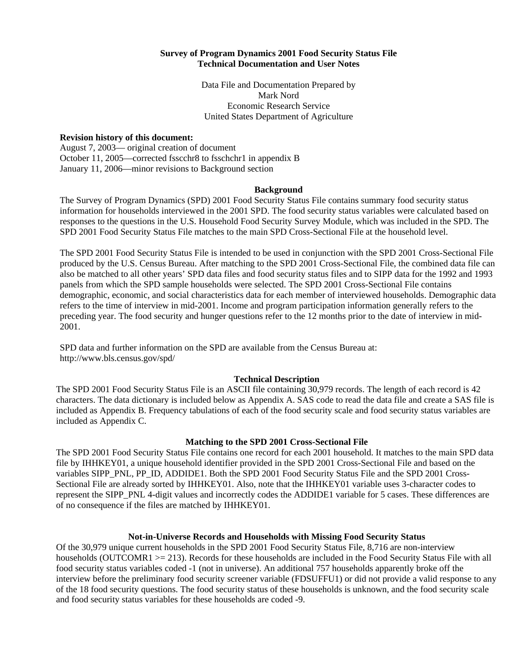### **Survey of Program Dynamics 2001 Food Security Status File Technical Documentation and User Notes**

Data File and Documentation Prepared by Mark Nord Economic Research Service United States Department of Agriculture

#### **Revision history of this document:**

August 7, 2003— original creation of document October 11, 2005—corrected fsscchr8 to fsschchr1 in appendix B January 11, 2006—minor revisions to Background section

#### **Background**

The Survey of Program Dynamics (SPD) 2001 Food Security Status File contains summary food security status information for households interviewed in the 2001 SPD. The food security status variables were calculated based on responses to the questions in the U.S. Household Food Security Survey Module, which was included in the SPD. The SPD 2001 Food Security Status File matches to the main SPD Cross-Sectional File at the household level.

The SPD 2001 Food Security Status File is intended to be used in conjunction with the SPD 2001 Cross-Sectional File produced by the U.S. Census Bureau. After matching to the SPD 2001 Cross-Sectional File, the combined data file can also be matched to all other years' SPD data files and food security status files and to SIPP data for the 1992 and 1993 panels from which the SPD sample households were selected. The SPD 2001 Cross-Sectional File contains demographic, economic, and social characteristics data for each member of interviewed households. Demographic data refers to the time of interview in mid-2001. Income and program participation information generally refers to the preceding year. The food security and hunger questions refer to the 12 months prior to the date of interview in mid-2001.

SPD data and further information on the SPD are available from the Census Bureau at: http://www.bls.census.gov/spd/

## **Technical Description**

The SPD 2001 Food Security Status File is an ASCII file containing 30,979 records. The length of each record is 42 characters. The data dictionary is included below as Appendix A. SAS code to read the data file and create a SAS file is included as Appendix B. Frequency tabulations of each of the food security scale and food security status variables are included as Appendix C.

### **Matching to the SPD 2001 Cross-Sectional File**

The SPD 2001 Food Security Status File contains one record for each 2001 household. It matches to the main SPD data file by IHHKEY01, a unique household identifier provided in the SPD 2001 Cross-Sectional File and based on the variables SIPP\_PNL, PP\_ID, ADDIDE1. Both the SPD 2001 Food Security Status File and the SPD 2001 Cross-Sectional File are already sorted by IHHKEY01. Also, note that the IHHKEY01 variable uses 3-character codes to represent the SIPP\_PNL 4-digit values and incorrectly codes the ADDIDE1 variable for 5 cases. These differences are of no consequence if the files are matched by IHHKEY01.

### **Not-in-Universe Records and Households with Missing Food Security Status**

Of the 30,979 unique current households in the SPD 2001 Food Security Status File, 8,716 are non-interview households (OUTCOMR1 >= 213). Records for these households are included in the Food Security Status File with all food security status variables coded -1 (not in universe). An additional 757 households apparently broke off the interview before the preliminary food security screener variable (FDSUFFU1) or did not provide a valid response to any of the 18 food security questions. The food security status of these households is unknown, and the food security scale and food security status variables for these households are coded -9.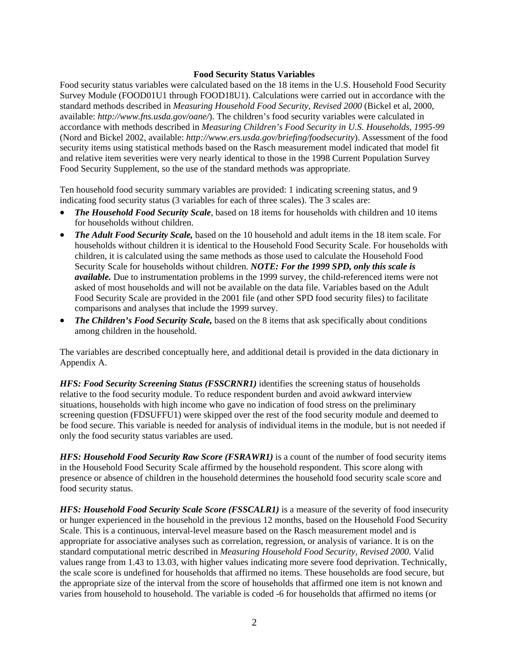### **Food Security Status Variables**

Food security status variables were calculated based on the 18 items in the U.S. Household Food Security Survey Module (FOOD01U1 through FOOD18U1). Calculations were carried out in accordance with the standard methods described in *Measuring Household Food Security, Revised 2000* (Bickel et al, 2000, available: *http://www.fns.usda.gov/oane/*). The children's food security variables were calculated in accordance with methods described in *Measuring Children's Food Security in U.S. Households, 1995-99* (Nord and Bickel 2002, available: *http://www.ers.usda.gov/briefing/foodsecurity*). Assessment of the food security items using statistical methods based on the Rasch measurement model indicated that model fit and relative item severities were very nearly identical to those in the 1998 Current Population Survey Food Security Supplement, so the use of the standard methods was appropriate.

Ten household food security summary variables are provided: 1 indicating screening status, and 9 indicating food security status (3 variables for each of three scales). The 3 scales are:

- *The Household Food Security Scale*, based on 18 items for households with children and 10 items for households without children.
- *The Adult Food Security Scale,* based on the 10 household and adult items in the 18 item scale. For households without children it is identical to the Household Food Security Scale. For households with children, it is calculated using the same methods as those used to calculate the Household Food Security Scale for households without children. *NOTE: For the 1999 SPD, only this scale is available.* Due to instrumentation problems in the 1999 survey, the child-referenced items were not asked of most households and will not be available on the data file. Variables based on the Adult Food Security Scale are provided in the 2001 file (and other SPD food security files) to facilitate comparisons and analyses that include the 1999 survey.
- *The Children's Food Security Scale,* based on the 8 items that ask specifically about conditions among children in the household.

The variables are described conceptually here, and additional detail is provided in the data dictionary in Appendix A.

*HFS: Food Security Screening Status (FSSCRNR1)* identifies the screening status of households relative to the food security module. To reduce respondent burden and avoid awkward interview situations, households with high income who gave no indication of food stress on the preliminary screening question (FDSUFFU1) were skipped over the rest of the food security module and deemed to be food secure. This variable is needed for analysis of individual items in the module, but is not needed if only the food security status variables are used.

*HFS: Household Food Security Raw Score (FSRAWR1)* is a count of the number of food security items in the Household Food Security Scale affirmed by the household respondent. This score along with presence or absence of children in the household determines the household food security scale score and food security status.

*HFS: Household Food Security Scale Score (FSSCALR1)* is a measure of the severity of food insecurity or hunger experienced in the household in the previous 12 months, based on the Household Food Security Scale. This is a continuous, interval-level measure based on the Rasch measurement model and is appropriate for associative analyses such as correlation, regression, or analysis of variance. It is on the standard computational metric described in *Measuring Household Food Security, Revised 2000.* Valid values range from 1.43 to 13.03, with higher values indicating more severe food deprivation. Technically, the scale score is undefined for households that affirmed no items. These households are food secure, but the appropriate size of the interval from the score of households that affirmed one item is not known and varies from household to household. The variable is coded -6 for households that affirmed no items (or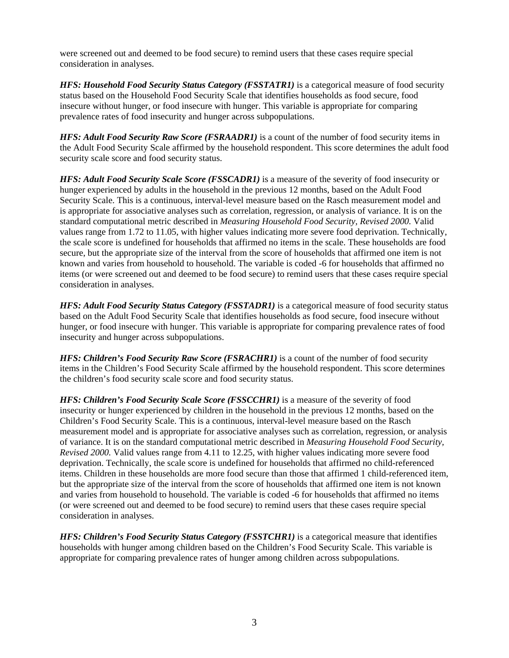were screened out and deemed to be food secure) to remind users that these cases require special consideration in analyses.

*HFS: Household Food Security Status Category (FSSTATR1)* is a categorical measure of food security status based on the Household Food Security Scale that identifies households as food secure, food insecure without hunger, or food insecure with hunger. This variable is appropriate for comparing prevalence rates of food insecurity and hunger across subpopulations.

*HFS: Adult Food Security Raw Score (FSRAADR1)* is a count of the number of food security items in the Adult Food Security Scale affirmed by the household respondent. This score determines the adult food security scale score and food security status.

*HFS: Adult Food Security Scale Score (FSSCADR1)* is a measure of the severity of food insecurity or hunger experienced by adults in the household in the previous 12 months, based on the Adult Food Security Scale. This is a continuous, interval-level measure based on the Rasch measurement model and is appropriate for associative analyses such as correlation, regression, or analysis of variance. It is on the standard computational metric described in *Measuring Household Food Security, Revised 2000.* Valid values range from 1.72 to 11.05, with higher values indicating more severe food deprivation. Technically, the scale score is undefined for households that affirmed no items in the scale. These households are food secure, but the appropriate size of the interval from the score of households that affirmed one item is not known and varies from household to household. The variable is coded -6 for households that affirmed no items (or were screened out and deemed to be food secure) to remind users that these cases require special consideration in analyses.

*HFS: Adult Food Security Status Category (FSSTADR1)* is a categorical measure of food security status based on the Adult Food Security Scale that identifies households as food secure, food insecure without hunger, or food insecure with hunger. This variable is appropriate for comparing prevalence rates of food insecurity and hunger across subpopulations.

*HFS: Children's Food Security Raw Score (FSRACHR1)* is a count of the number of food security items in the Children's Food Security Scale affirmed by the household respondent. This score determines the children's food security scale score and food security status.

*HFS: Children's Food Security Scale Score (FSSCCHR1)* is a measure of the severity of food insecurity or hunger experienced by children in the household in the previous 12 months, based on the Children's Food Security Scale. This is a continuous, interval-level measure based on the Rasch measurement model and is appropriate for associative analyses such as correlation, regression, or analysis of variance. It is on the standard computational metric described in *Measuring Household Food Security, Revised 2000.* Valid values range from 4.11 to 12.25, with higher values indicating more severe food deprivation. Technically, the scale score is undefined for households that affirmed no child-referenced items. Children in these households are more food secure than those that affirmed 1 child-referenced item, but the appropriate size of the interval from the score of households that affirmed one item is not known and varies from household to household. The variable is coded -6 for households that affirmed no items (or were screened out and deemed to be food secure) to remind users that these cases require special consideration in analyses.

*HFS: Children's Food Security Status Category (FSSTCHR1)* is a categorical measure that identifies households with hunger among children based on the Children's Food Security Scale. This variable is appropriate for comparing prevalence rates of hunger among children across subpopulations.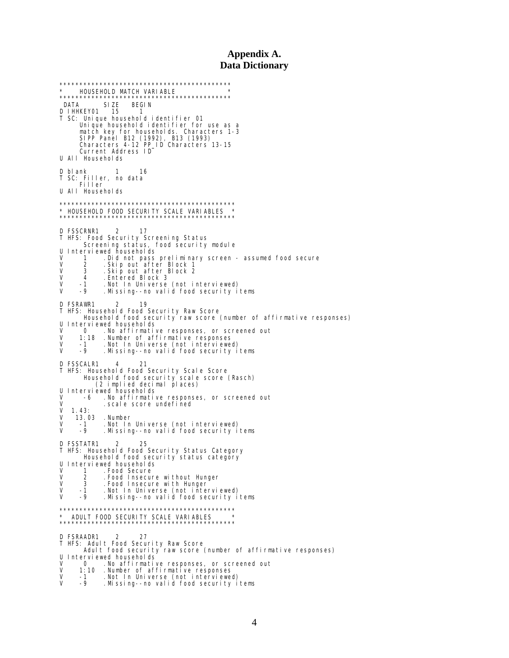## **Appendix A. Data Dictionary**

\*\*\*\*\*\*\*\*\*\*\*\*\*\*\*\*\*\*\*\*\*\*\*\*\*\*\*\*\*\*\*\*\*\*\*\*\*\*\*\*\*\*\* \* HOUSEHOLD MATCH VARIABLE \* \*\*\*\*\*\*\*\*\*\*\*\*\*\*\*\*\*\*\*\*\*\*\*\*\*\*\*\*\*\*\*\*\*\*\*\*\*\*\*\*\*\*\* DATA SIZE BEGIN D IHHKEY01 15 1 T SC: Unique household identifier 01 Unique household identifier for use as a match key for households. Characters 1-3 SIPP Panel B12 (1992), B13 (1993) Characters 4-12 PP\_ID Characters 13-15 Current Address ID U All Households D blank 1 16 T SC: Filler, no data Filler U All Households \*\*\*\*\*\*\*\*\*\*\*\*\*\*\*\*\*\*\*\*\*\*\*\*\*\*\*\*\*\*\*\*\*\*\*\*\*\*\*\*\*\*\*\* \* HOUSEHOLD FOOD SECURITY SCALE VARIABLES \* \*\*\*\*\*\*\*\*\*\*\*\*\*\*\*\*\*\*\*\*\*\*\*\*\*\*\*\*\*\*\*\*\*\*\*\*\*\*\*\*\*\*\*\* D FSSCRNR1 2 17 T HFS: Food Security Screening Status Screening status, food security module U Interviewed households<br>V 1 Did not pass V 1 .Did not pass preliminary screen - assumed food secure V 2 .Skip out after Block 1 V 3 .Skip out after Block 2 V 4 .Entered Block 3 V -1 .Not In Universe (not interviewed) V -9 .Missing--no valid food security items D FSRAWR1 2 19 T HFS: Household Food Security Raw Score Household food security raw score (number of affirmative responses) U Interviewed households<br>V 0 No affirmative V 0 .No affirmative responses, or screened out V 1:18 .Number of affirmative responses V -1 .Not In Universe (not interviewed) V -9 . Missing--no valid food security items D FSSCALR1 4 21 T HFS: Household Food Security Scale Score Household food security scale score (Rasch) (2 implied decimal places) U Interviewed households<br>V -6 No affirmativ V -6 .No affirmative responses, or screened out V .scale score undefined  $V = 1.43:$ <br> $V = 13.0$ V 13.03 .Number v -1 .namp.<br>V -1 .Not In Universe (not interviewed)<br>V -9 .Missing--no-valid food security i with the control of the controller of the control of the same control of the same control of the same control o D FSSTATR1 2 25 T HFS: Household Food Security Status Category Household food security status category U Interviewed households V 1 . Food Secure<br>V 2 . Food Insecur V 2 .Food Insecure without Hunger V 3 .Food Insecure with Hunger V -1 .Not In Universe (not interviewed) V -9 .Missing--no valid food security items \*\*\*\*\*\*\*\*\*\*\*\*\*\*\*\*\*\*\*\*\*\*\*\*\*\*\*\*\*\*\*\*\*\*\*\*\*\*\*\*\*\*\*\* \* ADULT FOOD SECURITY SCALE VARIABLES \* \*\*\*\*\*\*\*\*\*\*\*\*\*\*\*\*\*\*\*\*\*\*\*\*\*\*\*\*\*\*\*\*\*\*\*\*\*\*\*\*\*\*\*\* D FSRAADR1 2 27 T HFS: Adult Food Security Raw Score Adult food security raw score (number of affirmative responses) U Interviewed households V 0 .No affirmative responses, or screened out V 1:10 .Number of affirmative responses V -1 .Not In Universe (not interviewed) V -9 .Missing--no valid food security items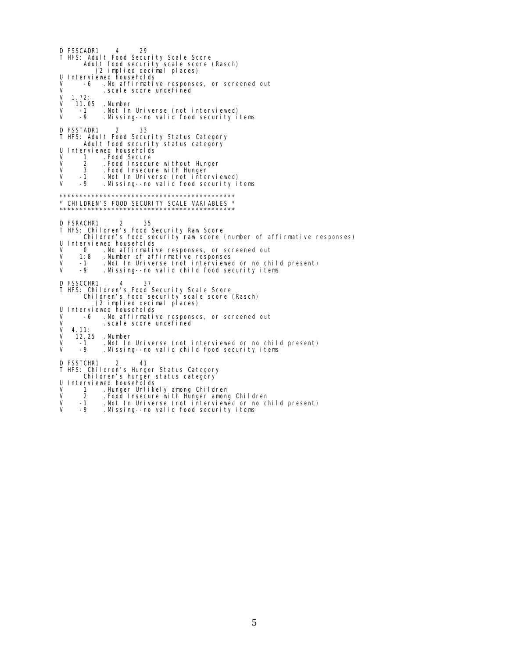D FSSCADR1 4 29 T HFS: Adult Food Security Scale Score Adult food security scale score (Rasch) (2 implied decimal places) U Interviewed households<br>V -6 .No affirmativ V -6 .No affirmative responses, or screened out V .scale score undefined  $V = 1.72:$ <br> $V = 11.0$ V 11.05 .Number V -1 .Not In Universe (not interviewed) V -9 .Missing--no valid food security items D FSSTADR1 2 33 T HFS: Adult Food Security Status Category Adult food security status category U Interviewed households<br>V 1 Food Secure V 1 .Food Secure<br>V 2 .Food Insecur V 2 .Food Insecure without Hunger V 3 .Food Insecure with Hunger V -1 .Not In Universe (not interviewed) Missing--no valid food security items \*\*\*\*\*\*\*\*\*\*\*\*\*\*\*\*\*\*\*\*\*\*\*\*\*\*\*\*\*\*\*\*\*\*\*\*\*\*\*\*\*\*\*\* \* CHILDREN'S FOOD SECURITY SCALE VARIABLES \* \*\*\*\*\*\*\*\*\*\*\*\*\*\*\*\*\*\*\*\*\*\*\*\*\*\*\*\*\*\*\*\*\*\*\*\*\*\*\*\*\*\*\*\* D FSRACHR1 2 35<br>T HFS: Children's Food Security Raw Score<br> Children's food security raw score (number of affirmative responses) U Interviewed households<br>V 0 .No affirmative V 0 . No affirmative responses, or screened out<br>V 1:8 . Number of affirmative responses V 1:8 .Number of affirmative responses V -1 .Not In Universe (not interviewed or no child present) V -9 .Missing--no valid child food security items D FSSCCHR1 4 37 T HFS: Children's Food Security Scale Score Children's food security scale score (Rasch) (2 implied decimal places) U Interviewed households V -6 . No affirmative responses, or screened out<br>V 4.11: . scal e score undefined  $V = 4.11:$ <br> $V = 12.2$ V 12.25 .Number<br>V -1 .Notln<br>V -9 .Missin V -1 .Not In Universe (not interviewed or no child present) V -9 .Missing--no valid child food security items D FSSTCHR1 2 41 T HFS: Children's Hunger Status Category Children's hunger status category U Interviewed households<br>V 1 Hunger Unlike

- V 1 .Hunger Unlikely among Children<br>V 2 .Food Insecure with Hunger among
- V 2 . Food Insecure with Hunger among Children<br>V -1 . Not In Universe (not interviewed or no cl<br>V -9 . Missing--no valid food security items
- V -1 .Not In Universe (not interviewed or no child present) V -9 .Missing--no valid food security items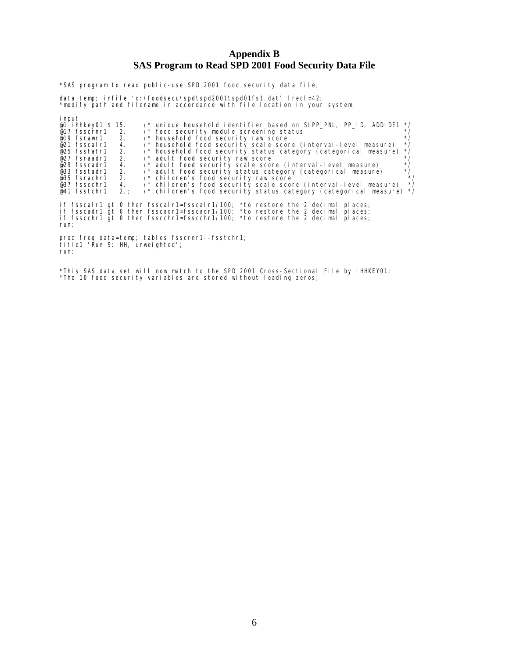# **Appendix B SAS Program to Read SPD 2001 Food Security Data File**

\*SAS program to read public-use SPD 2001 food security data file;

data temp; infile 'd:\foodsecu\spd\spd2001\spd01fs1.dat' lrecl=42; \*modify path and filename in accordance with file location in your system;

| <i>i</i> nput<br>@1 i hhkey01 \$ 15.<br>@17 $fsscrn r1 2.$<br>$@19$ fsrawr1 2.<br>@21 fsscal r1<br>@25 fsstatr1 2.<br>2.<br>@27 fsraadr1<br>@29 fsscadr1<br>@33 fsstadr1<br>@37 fsscchr1<br>@41 fsstchr1 | $\gamma^*$ unique household identifier based on SIPP PNL, PP ID, ADDIDE1 */<br>/* food security module screening status<br>/* household food security raw score<br>/* household food security scale score (interval-level measure)<br>4.<br>/* household food security status category (categorical measure)<br>/* adult food security raw score<br>/* adult food security scale score (interval-level measure)<br>4.<br>2.<br>/* adult food security status category (categorical measure)<br>@35 fsrachr1 2. /* children's food security raw score<br>4. /* children's food security scale score (interval-level measure)<br>/* children's food security status category (categorical measure) */<br>2. : | $*$ /<br>$^{\star}$ /<br>$^{\star}$ /<br>$^*/$<br>$*$ /<br>$^{\star}$ /<br>$^*/$<br>$*$ /<br>$^{\star}$ / |
|----------------------------------------------------------------------------------------------------------------------------------------------------------------------------------------------------------|-------------------------------------------------------------------------------------------------------------------------------------------------------------------------------------------------------------------------------------------------------------------------------------------------------------------------------------------------------------------------------------------------------------------------------------------------------------------------------------------------------------------------------------------------------------------------------------------------------------------------------------------------------------------------------------------------------------|-----------------------------------------------------------------------------------------------------------|
| run;                                                                                                                                                                                                     | if fsscalr1 gt 0 then fsscalr1=fsscalr1/100; *to restore the 2 decimal places;<br>if fsscadr1 qt 0 then fsscadr1=fsscadr1/100; *to restore the 2 decimal<br>pl aces;<br>if fsscchr1 gt 0 then fsscchr1=fsscchr1/100; *to restore the 2 decimal<br>pl aces:                                                                                                                                                                                                                                                                                                                                                                                                                                                  |                                                                                                           |
| $t$ it let $'$ Run 9: HH, unweighted';<br>run;                                                                                                                                                           | proc freq data=temp; tables fsscrnr1--fsstchr1;                                                                                                                                                                                                                                                                                                                                                                                                                                                                                                                                                                                                                                                             |                                                                                                           |

\*This SAS data set will now match to the SPD 2001 Cross-Sectional File by IHHKEY01; \*The 10 food security variables are stored without leading zeros;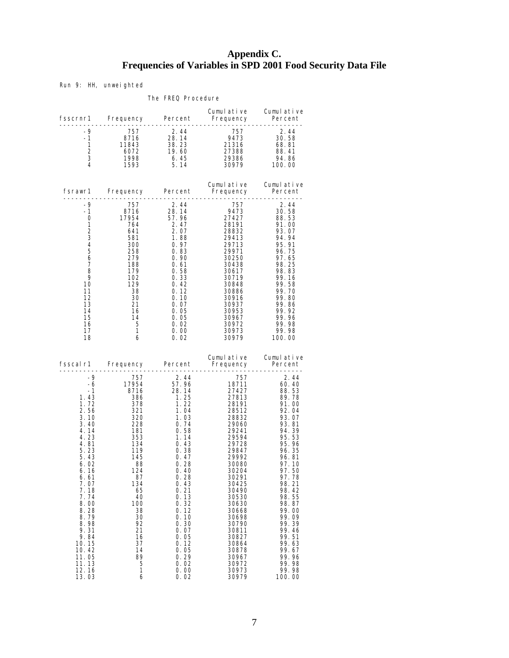# **Appendix C. Frequencies of Variables in SPD 2001 Food Security Data File**

Run 9: HH, unweighted

#### The FREQ Procedure

|                                                                                                                                                                                                                                                            |                                                                                                                                                                                                                                                                                                                                                                                                                                                                                                                                                                                                                                                                                                                              |                                                                                                                                      | Cumulative Cumulative                                                                                                                                                                                                                                                                    |                                                                                                                                                                                                                                                                                                                                                                                |
|------------------------------------------------------------------------------------------------------------------------------------------------------------------------------------------------------------------------------------------------------------|------------------------------------------------------------------------------------------------------------------------------------------------------------------------------------------------------------------------------------------------------------------------------------------------------------------------------------------------------------------------------------------------------------------------------------------------------------------------------------------------------------------------------------------------------------------------------------------------------------------------------------------------------------------------------------------------------------------------------|--------------------------------------------------------------------------------------------------------------------------------------|------------------------------------------------------------------------------------------------------------------------------------------------------------------------------------------------------------------------------------------------------------------------------------------|--------------------------------------------------------------------------------------------------------------------------------------------------------------------------------------------------------------------------------------------------------------------------------------------------------------------------------------------------------------------------------|
| -9<br>$\frac{-1}{1}$                                                                                                                                                                                                                                       |                                                                                                                                                                                                                                                                                                                                                                                                                                                                                                                                                                                                                                                                                                                              |                                                                                                                                      | $\begin{array}{cccccccc} .9 & 757 & 2.44 & 757 & 2.44 \\ -9 & 757 & 2.44 & 757 & 2.44 \\ 1 & 8716 & 28.14 & 9473 & 30.58 \\ 1 & 11843 & 38.23 & 21316 & 68.81 \\ 2 & 6072 & 19.60 & 27388 & 88.41 \\ 3 & 1998 & 6.45 & 29386 & 94.86 \\ 4 & 1593 & 5.14 & 30979 & 100.00 \\ \end{array}$ |                                                                                                                                                                                                                                                                                                                                                                                |
|                                                                                                                                                                                                                                                            |                                                                                                                                                                                                                                                                                                                                                                                                                                                                                                                                                                                                                                                                                                                              |                                                                                                                                      | Cumulative Cumulative                                                                                                                                                                                                                                                                    |                                                                                                                                                                                                                                                                                                                                                                                |
| $-9$<br>$-1$<br>10<br>11<br>12<br>13<br>14<br>15<br>16<br>17<br>18                                                                                                                                                                                         | $\begin{array}{cccc} \text{Frequency} & \text{Fermi-1} & \text{Frequency} \end{array} \ \begin{array}{c} \text{Frequency} \ \text{195} & \text{195} \ \text{195} & \text{195} \ \text{195} & \text{195} \ \text{195} & \text{195} \ \text{195} & \text{195} \ \text{195} & \text{195} \ \text{195} & \text{195} \ \text{195} & \text{195} \ \text{195} & \text{195} \ \text{195} & \text{195} \ \text{196} & \text{19$<br>$6^{\circ}$                                                                                                                                                                                                                                                                                        | 0.02                                                                                                                                 | 29971<br>30438<br>30617<br>30719<br>30886<br>30916<br>30953<br>30953<br>30953<br>$\begin{array}{r} 30967 & 99.96 \\ 30972 & 99.98 \\ 30973 & 99.98 \end{array}$                                                                                                                          | 97.65<br>98.25<br>98.83<br>- 99. 16<br>99.58<br>99.70<br>99.80<br>99.86<br>99.92<br>30979 100.00                                                                                                                                                                                                                                                                               |
|                                                                                                                                                                                                                                                            |                                                                                                                                                                                                                                                                                                                                                                                                                                                                                                                                                                                                                                                                                                                              |                                                                                                                                      | Cumulative Cumulative<br>fsscalr1 Frequency Percent Frequency Percent                                                                                                                                                                                                                    |                                                                                                                                                                                                                                                                                                                                                                                |
| $-9$<br>$-6$<br>$-1$<br>1.43<br>1.72<br>2.56<br>3.10<br>3.40<br>4.14<br>4.23<br>4.81<br>5.23<br>5.43<br>6.02<br>6.16<br>6.61<br>7.07<br>7.18<br>7.74<br>8.00<br>8.28<br>8.79<br>8.98<br>9.31<br>9.84<br>10.15<br>10.42<br>11.05<br>11.13<br>12.16<br>13.03 | $\begin{array}{r} \textcolor{red}{7} \textcolor{red}{7} \textcolor{red}{7} \textcolor{red}{7} \textcolor{red}{5} \textcolor{red}{7} \textcolor{red}{7} \textcolor{red}{7} \textcolor{red}{7} \textcolor{red}{7} \textcolor{red}{7} \textcolor{red}{7} \textcolor{red}{7} \textcolor{red}{7} \textcolor{red}{7} \textcolor{red}{7} \textcolor{red}{7} \textcolor{red}{7} \textcolor{red}{8} \textcolor{red}{7} \textcolor{red}{16} \textcolor{red}{7} \textcolor{red}{8} \textcolor{red}{7} \textcolor{red}{16} \textcolor{red}{7} \textcolor$<br>$\begin{array}{r} 134 \\ 119 \\ 145 \\ 88 \\ 124 \\ \hline 87 \end{array}$<br>- 87<br>134<br>65<br>40<br>100<br>38<br>30<br>92<br>21<br>16<br>37<br>14<br>89<br>5<br>1<br>6 | 0.40<br>0.28<br>0.43<br>0.21<br>0.13<br>0.32<br>0.12<br>0.10<br>0.30<br>0.07<br>0.05<br>0.12<br>0.05<br>0.29<br>0.02<br>0.00<br>0.02 | 757<br>28832<br>20032<br>29060<br>29241<br>29594<br>29394<br>29728<br>29847<br>29992<br>30080<br>30204<br>30291<br>30425<br>30490<br>30530<br>30630<br>30668<br>30698<br>30790<br>30811<br>30827<br>30864<br>30878<br>30967<br>30972<br>30973<br>30979                                   | 2.44<br>$\begin{array}{cccc} 751 & 60.44 \ 18711 & 60.40 \ 27427 & 88.53 \ 27813 & 89.78 \ 28191 & 91.00 \ 28512 & 92.04 \ \end{array}$<br>93.07<br>93.81<br>94.39<br>95.53<br>$95.96$<br>$96.35$<br>96.81<br>97.10<br>97.50<br>97.78<br>98.21<br>98.42<br>98.55<br>98.87<br>99.00<br>99.09<br>99.39<br>99.46<br>99.51<br>99.63<br>99.67<br>99. 96<br>99.98<br>99.98<br>100.00 |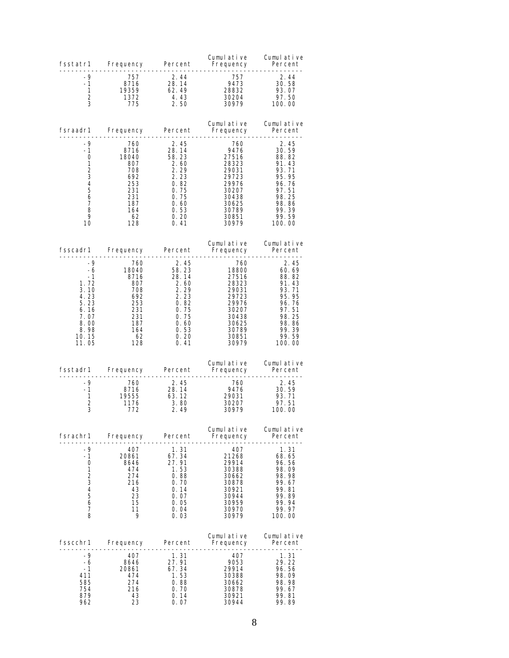| fsstatr1                                                                                             | Frequency Percent                                                                                                                                  |                                                                                                                | Cumulative<br>Frequency<br>. <del>.</del> .                                                                              | Cumulative<br>Percent                                                                                                            |
|------------------------------------------------------------------------------------------------------|----------------------------------------------------------------------------------------------------------------------------------------------------|----------------------------------------------------------------------------------------------------------------|--------------------------------------------------------------------------------------------------------------------------|----------------------------------------------------------------------------------------------------------------------------------|
| -9<br>$-1$<br>1<br>$\overline{2}$<br>3                                                               | 757<br>8716<br>19359<br>1372<br>775                                                                                                                | 2.44<br>28. 14<br>62. 49<br>4.43<br>2.50                                                                       | 757<br>9473<br>28832<br>30204<br>30979                                                                                   | 2.44<br>30.58<br>93.07<br>97.50<br>100.00                                                                                        |
| fsraadr1                                                                                             | Frequency Percent                                                                                                                                  |                                                                                                                | Cumulative<br>Frequency<br>.                                                                                             | Cumulative<br>Percent                                                                                                            |
| -9<br>$-1$<br>0<br>1<br>$\overline{2}$<br>3<br>4<br>5<br>6<br>7<br>8<br>9<br>10                      | 760<br>8716<br>18040<br>807<br>708<br>692<br>253<br>231<br>231<br>187<br>164<br>- 62<br>128                                                        | 2.45<br>28.14<br>58.23<br>2.60<br>2.29<br>2.23<br>0.82<br>0.75<br>0.75<br>0.60<br>0.53<br>0.20<br>0.41         | 760<br>9476<br>27516<br>28323<br>29031<br>29723<br>29976<br>30207<br>30438<br>30625<br>30789<br>30851<br>30979           | -----------<br>2.45<br>30.59<br>88.82<br>91.43<br>93.71<br>95.95<br>96.76<br>97.51<br>98.25<br>98.86<br>99.39<br>99.59<br>100.00 |
| fsscadr1                                                                                             | Frequency Percent                                                                                                                                  |                                                                                                                | Cumulative<br>Frequency                                                                                                  | Cumulative<br>Percent<br>.                                                                                                       |
| -9<br>$-6$<br>$-1$<br>1.72<br>3.10<br>4.23<br>5.23<br>6.16<br>7.07<br>8.00<br>8.98<br>10.15<br>11.05 | 760<br>18040<br>8716<br>- 807<br>$\frac{708}{692}$<br>$\frac{253}{231}$<br>187<br>$\begin{array}{c} 16 \\ 62 \\ \hline 2 \\ 28 \end{array}$<br>128 | 2.45<br>58.23<br>28.14<br>2.60<br>$2.\,29$<br>$2.23$<br>$0.82$<br>0.75<br>0.75<br>0.60<br>0.53<br>0.20<br>0.41 | 760<br>18800<br>27516<br>28323<br>28323<br>29031<br>29723<br>29976<br>30207<br>30438<br>30625<br>30789<br>30851<br>30979 | 2.45<br>60. 69<br>88.82<br>91.43<br>93.71<br>95.95<br>96. 76<br>97.51<br>98.25<br>98.86<br>99.39<br>99.59<br>100.00              |
| fsstadr1                                                                                             | Frequency                                                                                                                                          | Percent                                                                                                        | Cumulative<br>Frequency                                                                                                  | Cumulative<br>Percent<br>- - - - - - - - -                                                                                       |
| -9<br>$-1$<br>1<br>2<br>3                                                                            | 760<br>8716<br>19555<br>1176<br>772                                                                                                                | 2.45<br>28.14<br>63.12<br>3.80<br>2.49                                                                         | $\frac{760}{9476}$<br>30207<br>30979                                                                                     | 2.45<br>30.59<br>93.71<br>97.51<br>100.00                                                                                        |
| fsrachr1                                                                                             | Frequency                                                                                                                                          | Percent                                                                                                        | Cumulative<br>Frequency                                                                                                  | Cumul ative<br>Percent                                                                                                           |
| -9<br>-1<br>0<br>1<br>$\frac{2}{3}$<br>4<br>5<br>6<br>7<br>8                                         | 407<br>20861<br>8646<br>474<br>274<br>216<br>43<br>23<br>15<br>11<br>9                                                                             | 1.31<br>67.34<br>27.91<br>1.53<br>0.88<br>0.70<br>0.14<br>0.07<br>0.05<br>0.04<br>0.03                         | 407<br>21268<br>29914<br>30388<br>30662<br>30878<br>30921<br>30944<br>30959<br>30970<br>30979                            | 1.31<br>68.65<br>96.56<br>98.09<br>98.98<br>99.67<br>99.81<br>99.89<br>99.94<br>99.97<br>100.00                                  |
| fsscchr1                                                                                             | Frequency                                                                                                                                          | Percent                                                                                                        | Cumulative<br>Frequency                                                                                                  | Cumulative<br>Percent<br>------                                                                                                  |
| -9<br>-6<br>$-1$<br>411<br>585<br>754<br>879<br>962                                                  | 407<br>8646<br>20861<br>474<br>274<br>216<br>43<br>23                                                                                              | 1.31<br>27.91<br>67.34<br>1.53<br>0.88<br>0.70<br>0.14<br>0.07                                                 | 407<br>9053<br>29914<br>30388<br>30662<br>30878<br>30921<br>30944                                                        | 1.31<br>29.22<br>96.56<br>98.09<br>98.98<br>99.67<br>99.81<br>99.89                                                              |